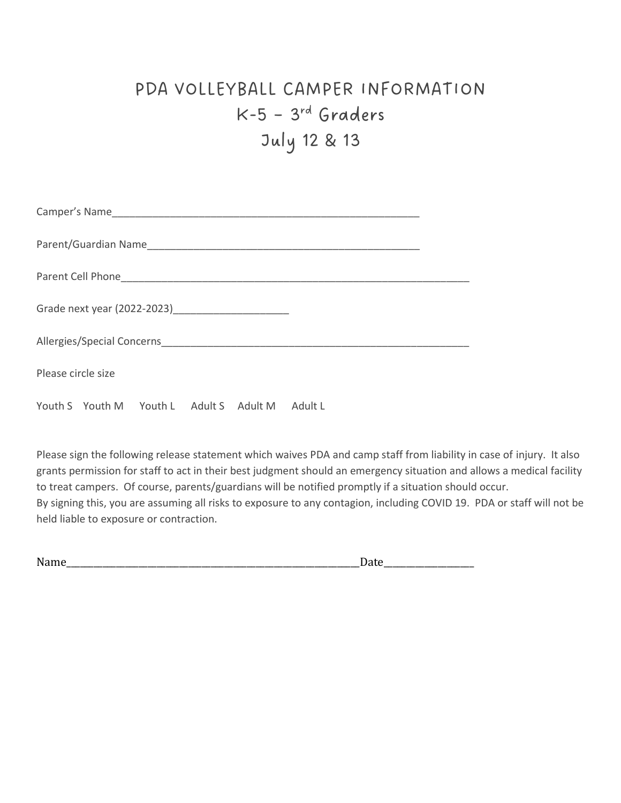## PDA VOLLEYBALL CAMPER INFORMATION  $K-5 - 3^{rd}$  Graders July 12 & 13

| Please circle size |                                                 |  |  |  |  |  |  |
|--------------------|-------------------------------------------------|--|--|--|--|--|--|
|                    | Youth S Youth M Youth L Adult S Adult M Adult L |  |  |  |  |  |  |

Please sign the following release statement which waives PDA and camp staff from liability in case of injury. It also grants permission for staff to act in their best judgment should an emergency situation and allows a medical facility to treat campers. Of course, parents/guardians will be notified promptly if a situation should occur. By signing this, you are assuming all risks to exposure to any contagion, including COVID 19. PDA or staff will not be held liable to exposure or contraction.

| Name | $\ddotsc$<br>-<br>______ |
|------|--------------------------|
|      |                          |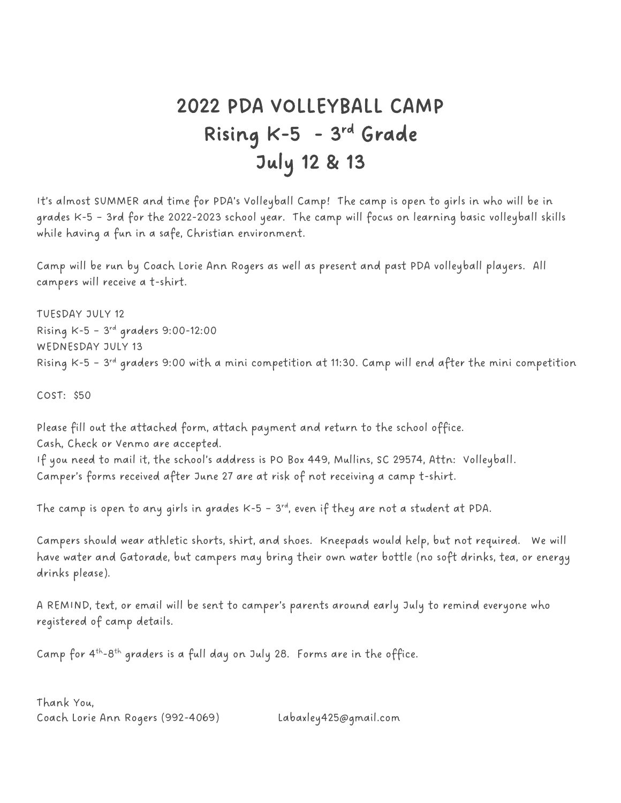## 2022 PDA VOLLEYBALL CAMP Rising K-5 - 3<sup>rd</sup> Grade July 12 & 13

It's almost SUMMER and time for PDA's Volleyball Camp! The camp is open to girls in who will be in grades K-5 – 3rd for the 2022-2023 school year. The camp will focus on learning basic volleyball skills while having a fun in a safe, Christian environment.

Camp will be run by Coach Lorie Ann Rogers as well as present and past PDA volleyball players. All campers will receive a t-shirt.

TUESDAY JULY 12 Rising K-5 – 3 rd graders 9:00-12:00 WEDNESDAY JULY 13 Rising K-5 – 3 rd graders 9:00 with a mini competition at 11:30. Camp will end after the mini competition

COST: \$50

Please fill out the attached form, attach payment and return to the school office. Cash, Check or Venmo are accepted. If you need to mail it, the school's address is PO Box 449, Mullins, SC 29574, Attn: Volleyball. Camper's forms received after June 27 are at risk of not receiving a camp t-shirt.

The camp is open to any girls in grades K-5 - 3rd, even if they are not a student at PDA.  $\,$ 

Campers should wear athletic shorts, shirt, and shoes. Kneepads would help, but not required. We will have water and Gatorade, but campers may bring their own water bottle (no soft drinks, tea, or energy drinks please).

A REMIND, text, or email will be sent to camper's parents around early July to remind everyone who registered of camp details.

Camp for 4<sup>th</sup>-8<sup>th</sup> graders is a full day on July 28. Forms are in the office.

Thank You, Coach Lorie Ann Rogers (992-4069) Labaxley425@gmail.com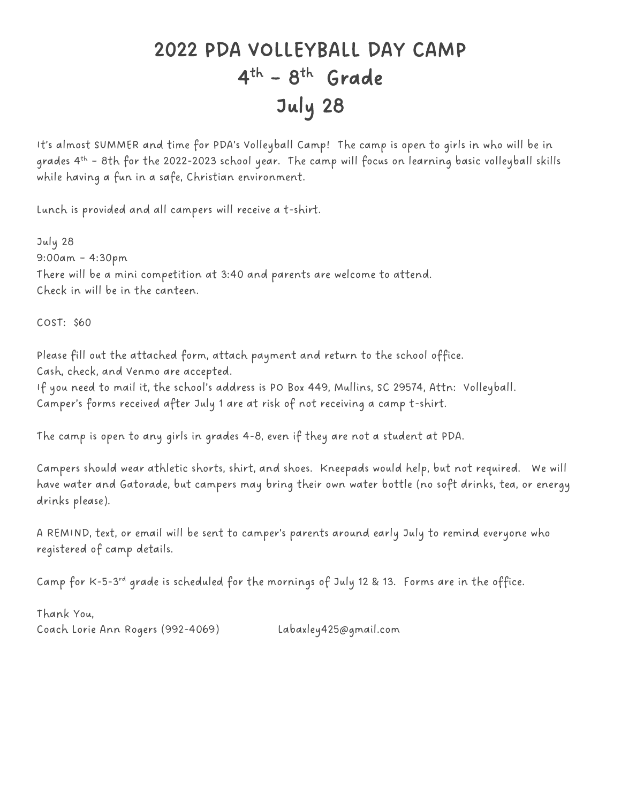## 2022 PDA VOLLEYBALL DAY CAMP 4<sup>th</sup> - 8<sup>th</sup> Grade July 28

It's almost SUMMER and time for PDA's Volleyball Camp! The camp is open to girls in who will be in grades 4 th – 8th for the 2022-2023 school year. The camp will focus on learning basic volleyball skills while having a fun in a safe, Christian environment.

Lunch is provided and all campers will receive a t-shirt.

July 28 9:00am – 4:30pm There will be a mini competition at 3:40 and parents are welcome to attend. Check in will be in the canteen.

COST: \$60

Please fill out the attached form, attach payment and return to the school office. Cash, check, and Venmo are accepted.

If you need to mail it, the school's address is PO Box 449, Mullins, SC 29574, Attn: Volleyball. Camper's forms received after July 1 are at risk of not receiving a camp t-shirt.

The camp is open to any girls in grades 4-8, even if they are not a student at PDA.

Campers should wear athletic shorts, shirt, and shoes. Kneepads would help, but not required. We will have water and Gatorade, but campers may bring their own water bottle (no soft drinks, tea, or energy drinks please).

A REMIND, text, or email will be sent to camper's parents around early July to remind everyone who registered of camp details.

Camp for K-5-3rd grade is scheduled for the mornings of July 12 & 13. Forms are in the office.

Thank You, Coach Lorie Ann Rogers (992-4069) Labaxley425@gmail.com